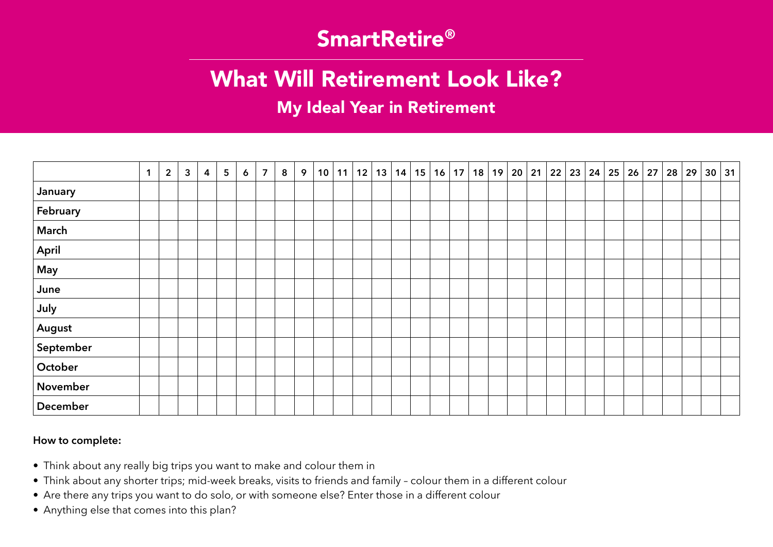## SmartRetire®

# What Will Retirement Look Like?

My Ideal Year in Retirement

|             | $\mathbf 1$ | $\overline{2}$ | $\overline{3}$ | $\overline{4}$ | $5\phantom{.0}$ | $\boldsymbol{6}$ | $\overline{7}$ | 8 | 9 | 10 | 11 |  | 12   13   14   15   16   17 |  | 18 | 19 20 21 22 23 24 25 26 27 |  |  |  | 28 29 |  | 30 31 |
|-------------|-------------|----------------|----------------|----------------|-----------------|------------------|----------------|---|---|----|----|--|-----------------------------|--|----|----------------------------|--|--|--|-------|--|-------|
| January     |             |                |                |                |                 |                  |                |   |   |    |    |  |                             |  |    |                            |  |  |  |       |  |       |
| February    |             |                |                |                |                 |                  |                |   |   |    |    |  |                             |  |    |                            |  |  |  |       |  |       |
| March       |             |                |                |                |                 |                  |                |   |   |    |    |  |                             |  |    |                            |  |  |  |       |  |       |
| April       |             |                |                |                |                 |                  |                |   |   |    |    |  |                             |  |    |                            |  |  |  |       |  |       |
| $\vert$ May |             |                |                |                |                 |                  |                |   |   |    |    |  |                             |  |    |                            |  |  |  |       |  |       |
| June        |             |                |                |                |                 |                  |                |   |   |    |    |  |                             |  |    |                            |  |  |  |       |  |       |
| July        |             |                |                |                |                 |                  |                |   |   |    |    |  |                             |  |    |                            |  |  |  |       |  |       |
| August      |             |                |                |                |                 |                  |                |   |   |    |    |  |                             |  |    |                            |  |  |  |       |  |       |
| September   |             |                |                |                |                 |                  |                |   |   |    |    |  |                             |  |    |                            |  |  |  |       |  |       |
| October     |             |                |                |                |                 |                  |                |   |   |    |    |  |                             |  |    |                            |  |  |  |       |  |       |
| November    |             |                |                |                |                 |                  |                |   |   |    |    |  |                             |  |    |                            |  |  |  |       |  |       |
| December    |             |                |                |                |                 |                  |                |   |   |    |    |  |                             |  |    |                            |  |  |  |       |  |       |

#### **How to complete:**

- Think about any really big trips you want to make and colour them in
- Think about any shorter trips; mid-week breaks, visits to friends and family colour them in a different colour
- Are there any trips you want to do solo, or with someone else? Enter those in a different colour
- Anything else that comes into this plan?